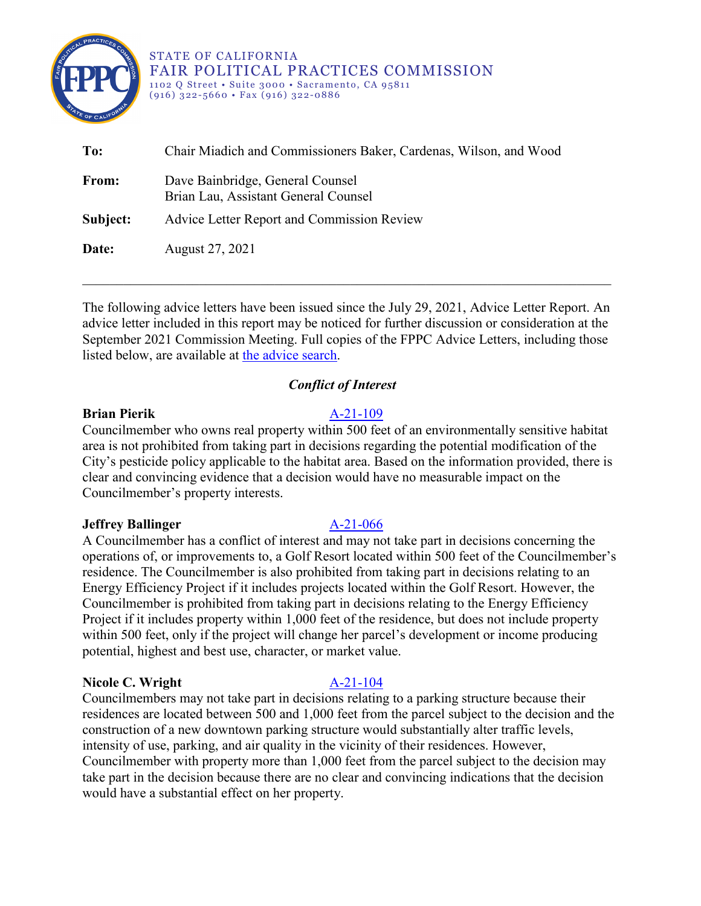

STATE OF CALIFORNIA FAIR POLITICAL PRACTICES COMMISSION 1102 Q Street • Suite 3000 • Sacramento, CA 95811 (916) 322-5660 • Fax (916) 322-0886

| To:      | Chair Miadich and Commissioners Baker, Cardenas, Wilson, and Wood        |
|----------|--------------------------------------------------------------------------|
| From:    | Dave Bainbridge, General Counsel<br>Brian Lau, Assistant General Counsel |
| Subject: | Advice Letter Report and Commission Review                               |
| Date:    | August 27, 2021                                                          |

The following advice letters have been issued since the July 29, 2021, Advice Letter Report. An advice letter included in this report may be noticed for further discussion or consideration at the September 2021 Commission Meeting. Full copies of the FPPC Advice Letters, including those listed below, are available at [the advice search.](http://www.fppc.ca.gov/the-law/opinions-and-advice-letters/law-advice-search.html)

\_\_\_\_\_\_\_\_\_\_\_\_\_\_\_\_\_\_\_\_\_\_\_\_\_\_\_\_\_\_\_\_\_\_\_\_\_\_\_\_\_\_\_\_\_\_\_\_\_\_\_\_\_\_\_\_\_\_\_\_\_\_\_\_\_\_\_\_\_\_\_\_\_\_\_\_\_

# *Conflict of Interest*

## **Brian Pierik** [A-21-109](https://www.fppc.ca.gov/content/dam/fppc/documents/advice-letters/2021-/2021/21109.pdf)

Councilmember who owns real property within 500 feet of an environmentally sensitive habitat area is not prohibited from taking part in decisions regarding the potential modification of the City's pesticide policy applicable to the habitat area. Based on the information provided, there is clear and convincing evidence that a decision would have no measurable impact on the Councilmember's property interests.

## **Jeffrey Ballinger** [A-21-066](https://www.fppc.ca.gov/content/dam/fppc/documents/advice-letters/2021-/2021/21066.pdf)

# A Councilmember has a conflict of interest and may not take part in decisions concerning the operations of, or improvements to, a Golf Resort located within 500 feet of the Councilmember's residence. The Councilmember is also prohibited from taking part in decisions relating to an Energy Efficiency Project if it includes projects located within the Golf Resort. However, the Councilmember is prohibited from taking part in decisions relating to the Energy Efficiency Project if it includes property within 1,000 feet of the residence, but does not include property within 500 feet, only if the project will change her parcel's development or income producing potential, highest and best use, character, or market value.

## **Nicole C. Wright** [A-21-104](https://www.fppc.ca.gov/content/dam/fppc/documents/advice-letters/2021-/2021/21104.pdf)

Councilmembers may not take part in decisions relating to a parking structure because their residences are located between 500 and 1,000 feet from the parcel subject to the decision and the construction of a new downtown parking structure would substantially alter traffic levels, intensity of use, parking, and air quality in the vicinity of their residences. However, Councilmember with property more than 1,000 feet from the parcel subject to the decision may take part in the decision because there are no clear and convincing indications that the decision would have a substantial effect on her property.